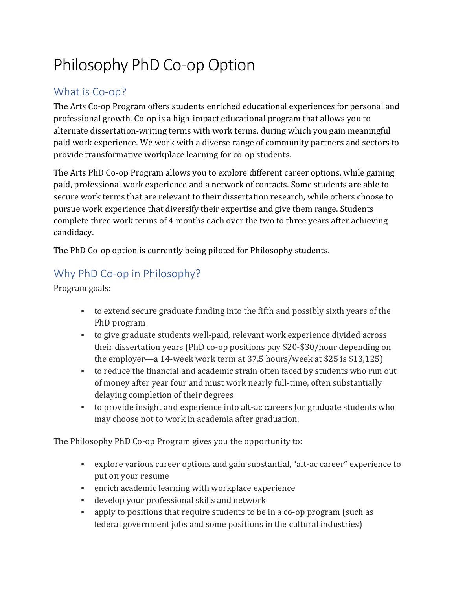# Philosophy PhD Co-op Option

## What is Co-op?

The Arts Co-op Program offers students enriched educational experiences for personal and professional growth. Co-op is a high-impact educational program that allows you to alternate dissertation-writing terms with work terms, during which you gain meaningful paid work experience. We work with a diverse range of community partners and sectors to provide transformative workplace learning for co-op students.

The Arts PhD Co-op Program allows you to explore different career options, while gaining paid, professional work experience and a network of contacts. Some students are able to secure work terms that are relevant to their dissertation research, while others choose to pursue work experience that diversify their expertise and give them range. Students complete three work terms of 4 months each over the two to three years after achieving candidacy.

The PhD Co-op option is currently being piloted for Philosophy students.

## Why PhD Co-op in Philosophy?

Program goals:

- to extend secure graduate funding into the fifth and possibly sixth years of the PhD program
- to give graduate students well-paid, relevant work experience divided across their dissertation years (PhD co-op positions pay \$20-\$30/hour depending on the employer—a 14-week work term at 37.5 hours/week at \$25 is \$13,125)
- to reduce the financial and academic strain often faced by students who run out of money after year four and must work nearly full-time, often substantially delaying completion of their degrees
- to provide insight and experience into alt-ac careers for graduate students who may choose not to work in academia after graduation.

The Philosophy PhD Co-op Program gives you the opportunity to:

- explore various career options and gain substantial, "alt-ac career" experience to put on your resume
- enrich academic learning with workplace experience
- develop your professional skills and network
- apply to positions that require students to be in a co-op program (such as federal government jobs and some positions in the cultural industries)